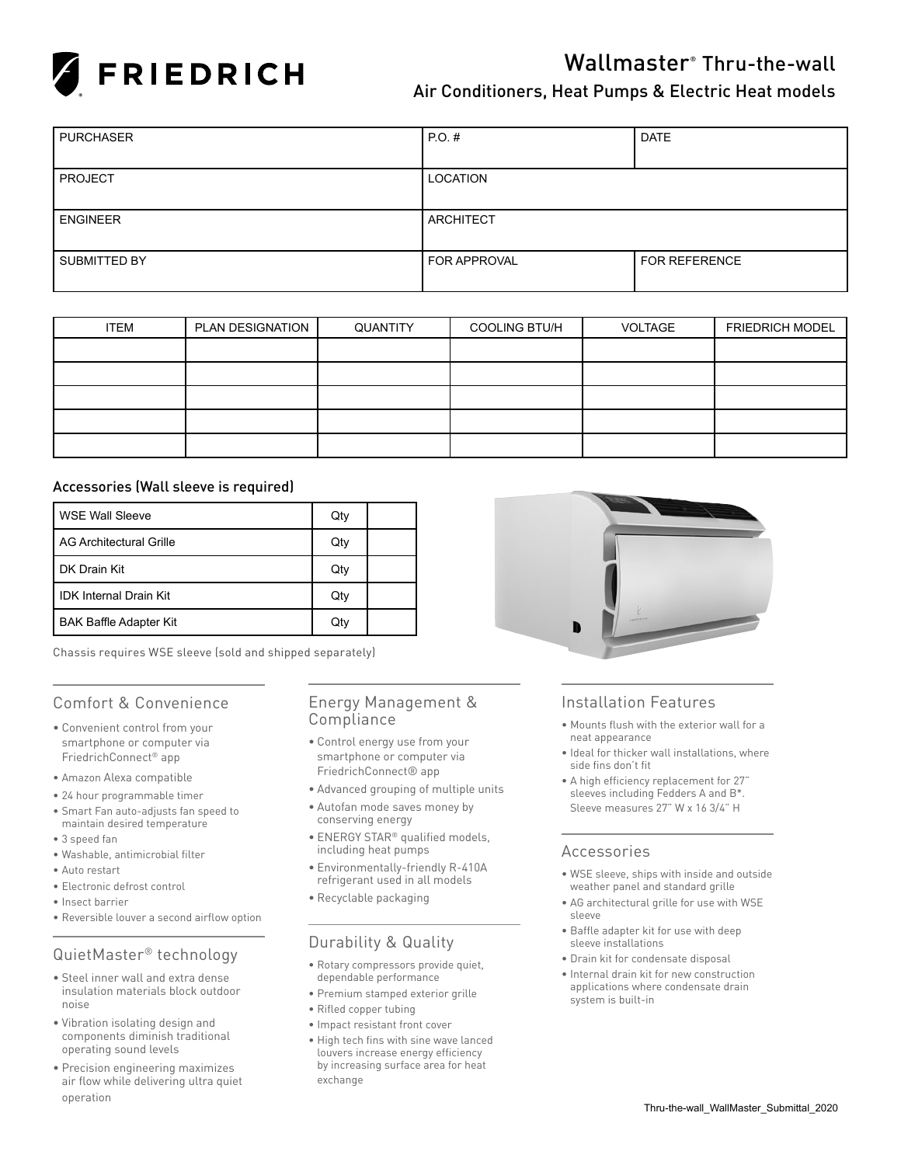

# Wallmaster® Thru-the-wall

### Air Conditioners, Heat Pumps & Electric Heat models

| <b>PURCHASER</b>    | $PO.$ #             | <b>DATE</b>          |
|---------------------|---------------------|----------------------|
|                     |                     |                      |
| <b>PROJECT</b>      | LOCATION            |                      |
|                     |                     |                      |
| <b>ENGINEER</b>     | <b>ARCHITECT</b>    |                      |
|                     |                     |                      |
| <b>SUBMITTED BY</b> | <b>FOR APPROVAL</b> | <b>FOR REFERENCE</b> |
|                     |                     |                      |

| <b>ITEM</b> | PLAN DESIGNATION | QUANTITY | <b>COOLING BTU/H</b> | <b>VOLTAGE</b> | <b>FRIEDRICH MODEL</b> |
|-------------|------------------|----------|----------------------|----------------|------------------------|
|             |                  |          |                      |                |                        |
|             |                  |          |                      |                |                        |
|             |                  |          |                      |                |                        |
|             |                  |          |                      |                |                        |
|             |                  |          |                      |                |                        |

### Accessories (Wall sleeve is required)

| WSE Wall Sleeve               | Qty |  |
|-------------------------------|-----|--|
| l AG Architectural Grille     | Qty |  |
| l DK Drain Kit                | Qty |  |
| l IDK Internal Drain Kit      | Qty |  |
| <b>BAK Baffle Adapter Kit</b> | Qty |  |

Chassis requires WSE sleeve (sold and shipped separately)

### Comfort & Convenience

- • Convenient control from your smartphone or computer via FriedrichConnect® app
- • Amazon Alexa compatible
- • 24 hour programmable timer
- • Smart Fan auto-adjusts fan speed to maintain desired temperature
- • 3 speed fan
- • Washable, antimicrobial filter
- Auto restart
- Electronic defrost control
- • Insect barrier
- Reversible louver a second airflow option

### QuietMaster® technology

- • Steel inner wall and extra dense insulation materials block outdoor noise
- • Vibration isolating design and components diminish traditional operating sound levels
- • Precision engineering maximizes air flow while delivering ultra quiet operation

### Energy Management & Compliance

- • Control energy use from your smartphone or computer via FriedrichConnect® app
- • Advanced grouping of multiple units
- • Autofan mode saves money by conserving energy
- ENERGY STAR® qualified models, including heat pumps
- • Environmentally-friendly R-410A refrigerant used in all models
- • Recyclable packaging

### Durability & Quality

- • Rotary compressors provide quiet, dependable performance
- • Premium stamped exterior grille
- • Rifled copper tubing
- • Impact resistant front cover
- • High tech fins with sine wave lanced louvers increase energy efficiency by increasing surface area for heat exchange



### Installation Features

- • Mounts flush with the exterior wall for a neat appearance
- • Ideal for thicker wall installations, where side fins don't fit
- • A high efficiency replacement for 27" sleeves including Fedders A and B\*. Sleeve measures 27" W x 16 3/4" H

### Accessories

- • WSE sleeve, ships with inside and outside weather panel and standard grille
- • AG architectural grille for use with WSE sleeve
- • Baffle adapter kit for use with deep sleeve installations
- • Drain kit for condensate disposal
- • Internal drain kit for new construction applications where condensate drain system is built-in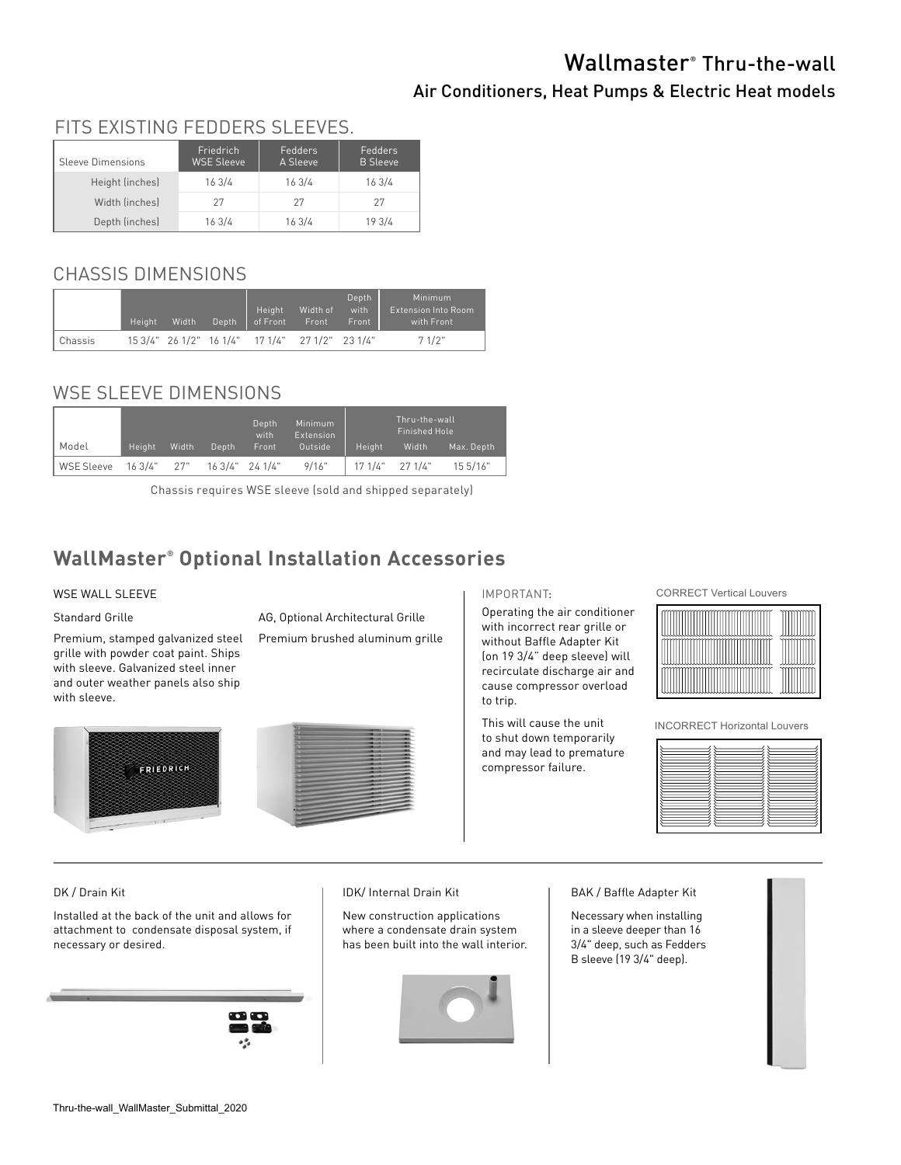# Wallmaster® Thru-the-wall

### Air Conditioners, Heat Pumps & Electric Heat models

#### Sleeve Dimensions Friedrich WSE Sleeve Fedders A Sleeve Fedders B Sleeve Height (inches) 16 3/4 16 3/4 16 3/4 Width (inches) 27 27 27 27 Depth (inches) 16 3/4 16 3/4 19 3/4 FITS EXISTING FEDDERS SLEEVES.

# CHASSIS DIMENSIONS

|         | Height | Width | Depth | Height<br>of Front                              | Width of<br>Front | Depth<br>with<br>Front | Minimum<br><b>Extension Into Room</b><br>with Front |
|---------|--------|-------|-------|-------------------------------------------------|-------------------|------------------------|-----------------------------------------------------|
| Chassis |        |       |       | 15 3/4" 26 1/2" 16 1/4" 17 1/4" 27 1/2" 23 1/4" |                   |                        | 71/2"                                               |

## WSE SLEEVE DIMENSIONS

|  |            |             |       |                    | Depth<br>with | Minimum<br><b>Extension</b> | Thru-the-wall<br>Finished Hole |         |            |  |  |  |
|--|------------|-------------|-------|--------------------|---------------|-----------------------------|--------------------------------|---------|------------|--|--|--|
|  | Model      | Height      | Width | Depth              | Front         | Outside                     | Height                         | Width   | Max. Depth |  |  |  |
|  | WSE Sleeve | 16 3/4" 27" |       | $163/4"$ 24 $1/4"$ |               | 9/16"                       | 17.1/4"                        | 27.1/4" | 15.5/16"   |  |  |  |

Chassis requires WSE sleeve (sold and shipped separately)

## **WallMaster® Optional Installation Accessories**

### WSE WALL SLEEVE

### Standard Grille

Premium, stamped galvanized steel grille with powder coat paint. Ships with sleeve. Galvanized steel inner and outer weather panels also ship with sleeve.

AG, Optional Architectural Grille

Premium brushed aluminum grille





### IMPORTANT:

Operating the air conditioner with incorrect rear grille or without Baffle Adapter Kit (on 19 3/4" deep sleeve) will recirculate discharge air and cause compressor overload to trip.

This will cause the unit to shut down temporarily and may lead to premature compressor failure.

CORRECT Vertical Louvers



INCORRECT Horizontal Louvers

### DK / Drain Kit

Installed at the back of the unit and allows for attachment to condensate disposal system, if necessary or desired.



### IDK/ Internal Drain Kit

New construction applications where a condensate drain system has been built into the wall interior.



### BAK / Baffle Adapter Kit

Necessary when installing in a sleeve deeper than 16 3/4" deep, such as Fedders B sleeve (19 3/4" deep).